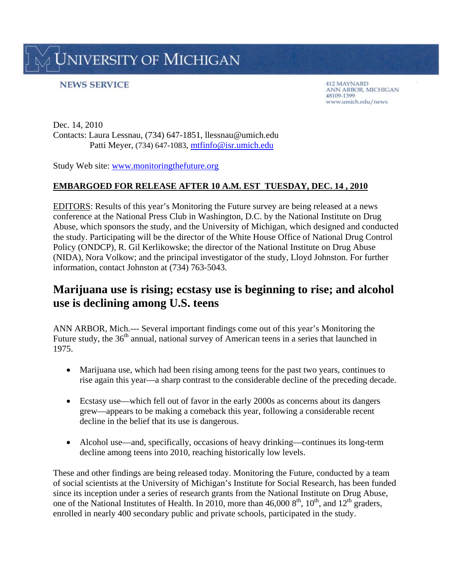**JNIVERSITY OF MICHIGAN** 

## **NEWS SERVICE**

412 MAYNARD ANN ARBOR, MICHIGAN 48109-1399 www.umich.edu/news

Dec. 14, 2010 Contacts: Laura Lessnau, (734) 647-1851, llessnau@umich.edu Patti Meyer, (734) 647-1083, mtfinfo@isr.umich.edu

Study Web site: www.monitoringthefuture.org

## **EMBARGOED FOR RELEASE AFTER 10 A.M. EST TUESDAY, DEC. 14 , 2010**

EDITORS: Results of this year's Monitoring the Future survey are being released at a news conference at the National Press Club in Washington, D.C. by the National Institute on Drug Abuse, which sponsors the study, and the University of Michigan, which designed and conducted the study. Participating will be the director of the White House Office of National Drug Control Policy (ONDCP), R. Gil Kerlikowske; the director of the National Institute on Drug Abuse (NIDA), Nora Volkow; and the principal investigator of the study, Lloyd Johnston. For further information, contact Johnston at (734) 763-5043.

# **Marijuana use is rising; ecstasy use is beginning to rise; and alcohol use is declining among U.S. teens**

ANN ARBOR, Mich.--- Several important findings come out of this year's Monitoring the Future study, the 36<sup>th</sup> annual, national survey of American teens in a series that launched in 1975.

- Marijuana use, which had been rising among teens for the past two years, continues to rise again this year—a sharp contrast to the considerable decline of the preceding decade.
- Ecstasy use—which fell out of favor in the early 2000s as concerns about its dangers grew—appears to be making a comeback this year, following a considerable recent decline in the belief that its use is dangerous.
- Alcohol use—and, specifically, occasions of heavy drinking—continues its long-term decline among teens into 2010, reaching historically low levels.

These and other findings are being released today. Monitoring the Future, conducted by a team of social scientists at the University of Michigan's Institute for Social Research, has been funded since its inception under a series of research grants from the National Institute on Drug Abuse, one of the National Institutes of Health. In 2010, more than 46,000  $8<sup>th</sup>$ , 10<sup>th</sup>, and 12<sup>th</sup> graders, enrolled in nearly 400 secondary public and private schools, participated in the study.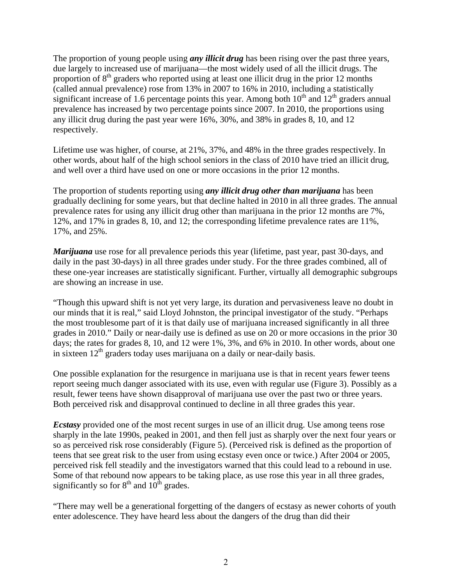The proportion of young people using *any illicit drug* has been rising over the past three years, due largely to increased use of marijuana—the most widely used of all the illicit drugs. The proportion of  $8<sup>th</sup>$  graders who reported using at least one illicit drug in the prior 12 months (called annual prevalence) rose from 13% in 2007 to 16% in 2010, including a statistically significant increase of 1.6 percentage points this year. Among both  $10<sup>th</sup>$  and  $12<sup>th</sup>$  graders annual prevalence has increased by two percentage points since 2007. In 2010, the proportions using any illicit drug during the past year were 16%, 30%, and 38% in grades 8, 10, and 12 respectively.

Lifetime use was higher, of course, at 21%, 37%, and 48% in the three grades respectively. In other words, about half of the high school seniors in the class of 2010 have tried an illicit drug, and well over a third have used on one or more occasions in the prior 12 months.

The proportion of students reporting using *any illicit drug other than marijuana* has been gradually declining for some years, but that decline halted in 2010 in all three grades. The annual prevalence rates for using any illicit drug other than marijuana in the prior 12 months are 7%, 12%, and 17% in grades 8, 10, and 12; the corresponding lifetime prevalence rates are 11%, 17%, and 25%.

*Marijuana* use rose for all prevalence periods this year (lifetime, past year, past 30-days, and daily in the past 30-days) in all three grades under study. For the three grades combined, all of these one-year increases are statistically significant. Further, virtually all demographic subgroups are showing an increase in use.

"Though this upward shift is not yet very large, its duration and pervasiveness leave no doubt in our minds that it is real," said Lloyd Johnston, the principal investigator of the study. "Perhaps the most troublesome part of it is that daily use of marijuana increased significantly in all three grades in 2010." Daily or near-daily use is defined as use on 20 or more occasions in the prior 30 days; the rates for grades 8, 10, and 12 were 1%, 3%, and 6% in 2010. In other words, about one in sixteen  $12<sup>th</sup>$  graders today uses marijuana on a daily or near-daily basis.

One possible explanation for the resurgence in marijuana use is that in recent years fewer teens report seeing much danger associated with its use, even with regular use (Figure 3). Possibly as a result, fewer teens have shown disapproval of marijuana use over the past two or three years. Both perceived risk and disapproval continued to decline in all three grades this year.

*Ecstasy* provided one of the most recent surges in use of an illicit drug. Use among teens rose sharply in the late 1990s, peaked in 2001, and then fell just as sharply over the next four years or so as perceived risk rose considerably (Figure 5). (Perceived risk is defined as the proportion of teens that see great risk to the user from using ecstasy even once or twice.) After 2004 or 2005, perceived risk fell steadily and the investigators warned that this could lead to a rebound in use. Some of that rebound now appears to be taking place, as use rose this year in all three grades, significantly so for  $8<sup>th</sup>$  and  $10<sup>th</sup>$  grades.

"There may well be a generational forgetting of the dangers of ecstasy as newer cohorts of youth enter adolescence. They have heard less about the dangers of the drug than did their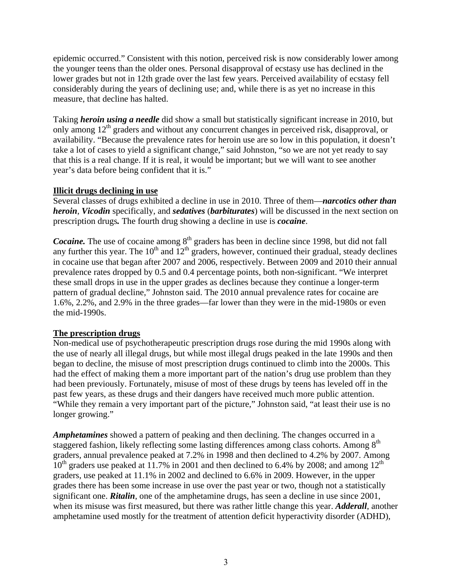epidemic occurred." Consistent with this notion, perceived risk is now considerably lower among the younger teens than the older ones. Personal disapproval of ecstasy use has declined in the lower grades but not in 12th grade over the last few years. Perceived availability of ecstasy fell considerably during the years of declining use; and, while there is as yet no increase in this measure, that decline has halted.

Taking *heroin using a needle* did show a small but statistically significant increase in 2010, but only among  $12<sup>th</sup>$  graders and without any concurrent changes in perceived risk, disapproval, or availability. "Because the prevalence rates for heroin use are so low in this population, it doesn't take a lot of cases to yield a significant change," said Johnston, "so we are not yet ready to say that this is a real change. If it is real, it would be important; but we will want to see another year's data before being confident that it is."

#### **Illicit drugs declining in use**

Several classes of drugs exhibited a decline in use in 2010. Three of them—*narcotics other than heroin*, *Vicodin* specifically, and *sedatives* (*barbiturates*) will be discussed in the next section on prescription drugs*.* The fourth drug showing a decline in use is *cocaine*.

*Cocaine*. The use of cocaine among 8<sup>th</sup> graders has been in decline since 1998, but did not fall any further this year. The  $10^{th}$  and  $12^{th}$  graders, however, continued their gradual, steady declines in cocaine use that began after 2007 and 2006, respectively. Between 2009 and 2010 their annual prevalence rates dropped by 0.5 and 0.4 percentage points, both non-significant. "We interpret these small drops in use in the upper grades as declines because they continue a longer-term pattern of gradual decline," Johnston said. The 2010 annual prevalence rates for cocaine are 1.6%, 2.2%, and 2.9% in the three grades—far lower than they were in the mid-1980s or even the mid-1990s.

## **The prescription drugs**

Non-medical use of psychotherapeutic prescription drugs rose during the mid 1990s along with the use of nearly all illegal drugs, but while most illegal drugs peaked in the late 1990s and then began to decline, the misuse of most prescription drugs continued to climb into the 2000s. This had the effect of making them a more important part of the nation's drug use problem than they had been previously. Fortunately, misuse of most of these drugs by teens has leveled off in the past few years, as these drugs and their dangers have received much more public attention. "While they remain a very important part of the picture," Johnston said, "at least their use is no longer growing."

*Amphetamines* showed a pattern of peaking and then declining. The changes occurred in a staggered fashion, likely reflecting some lasting differences among class cohorts. Among 8<sup>th</sup> graders, annual prevalence peaked at 7.2% in 1998 and then declined to 4.2% by 2007. Among  $10^{th}$  graders use peaked at 11.7% in 2001 and then declined to 6.4% by 2008; and among  $12^{th}$ graders, use peaked at 11.1% in 2002 and declined to 6.6% in 2009. However, in the upper grades there has been some increase in use over the past year or two, though not a statistically significant one. **Ritalin**, one of the amphetamine drugs, has seen a decline in use since 2001, when its misuse was first measured, but there was rather little change this year. *Adderall*, another amphetamine used mostly for the treatment of attention deficit hyperactivity disorder (ADHD),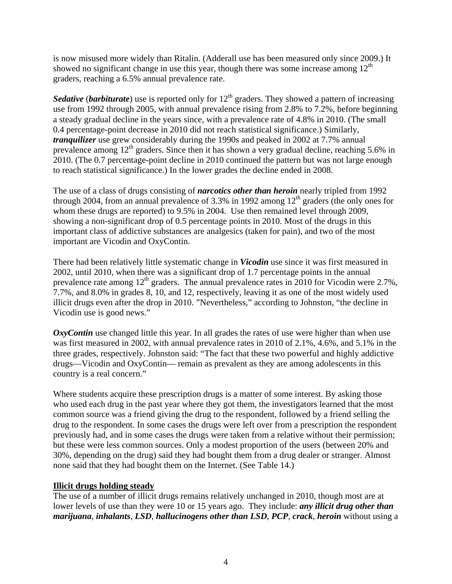is now misused more widely than Ritalin. (Adderall use has been measured only since 2009.) It showed no significant change in use this year, though there was some increase among  $12<sup>th</sup>$ graders, reaching a 6.5% annual prevalence rate.

*Sedative* (*barbiturate*) use is reported only for 12<sup>th</sup> graders. They showed a pattern of increasing use from 1992 through 2005, with annual prevalence rising from 2.8% to 7.2%, before beginning a steady gradual decline in the years since, with a prevalence rate of 4.8% in 2010. (The small 0.4 percentage-point decrease in 2010 did not reach statistical significance.) Similarly, *tranquilizer* use grew considerably during the 1990s and peaked in 2002 at 7.7% annual prevalence among  $12<sup>th</sup>$  graders. Since then it has shown a very gradual decline, reaching 5.6% in 2010. (The 0.7 percentage-point decline in 2010 continued the pattern but was not large enough to reach statistical significance.) In the lower grades the decline ended in 2008.

The use of a class of drugs consisting of *narcotics other than heroin* nearly tripled from 1992 through 2004, from an annual prevalence of 3.3% in 1992 among  $12<sup>th</sup>$  graders (the only ones for whom these drugs are reported) to 9.5% in 2004. Use then remained level through 2009, showing a non-significant drop of 0.5 percentage points in 2010. Most of the drugs in this important class of addictive substances are analgesics (taken for pain), and two of the most important are Vicodin and OxyContin.

There had been relatively little systematic change in *Vicodin* use since it was first measured in 2002, until 2010, when there was a significant drop of 1.7 percentage points in the annual prevalence rate among  $12<sup>th</sup>$  graders. The annual prevalence rates in 2010 for Vicodin were 2.7%, 7.7%, and 8.0% in grades 8, 10, and 12, respectively, leaving it as one of the most widely used illicit drugs even after the drop in 2010. "Nevertheless," according to Johnston, "the decline in Vicodin use is good news."

*OxyContin* use changed little this year. In all grades the rates of use were higher than when use was first measured in 2002, with annual prevalence rates in 2010 of 2.1%, 4.6%, and 5.1% in the three grades, respectively. Johnston said: "The fact that these two powerful and highly addictive drugs—Vicodin and OxyContin— remain as prevalent as they are among adolescents in this country is a real concern."

Where students acquire these prescription drugs is a matter of some interest. By asking those who used each drug in the past year where they got them, the investigators learned that the most common source was a friend giving the drug to the respondent, followed by a friend selling the drug to the respondent. In some cases the drugs were left over from a prescription the respondent previously had, and in some cases the drugs were taken from a relative without their permission; but these were less common sources. Only a modest proportion of the users (between 20% and 30%, depending on the drug) said they had bought them from a drug dealer or stranger. Almost none said that they had bought them on the Internet. (See Table 14.)

## **Illicit drugs holding steady**

The use of a number of illicit drugs remains relatively unchanged in 2010, though most are at lower levels of use than they were 10 or 15 years ago. They include: *any illicit drug other than marijuana*, *inhalants*, *LSD*, *hallucinogens other than LSD*, *PCP*, *crack*, *heroin* without using a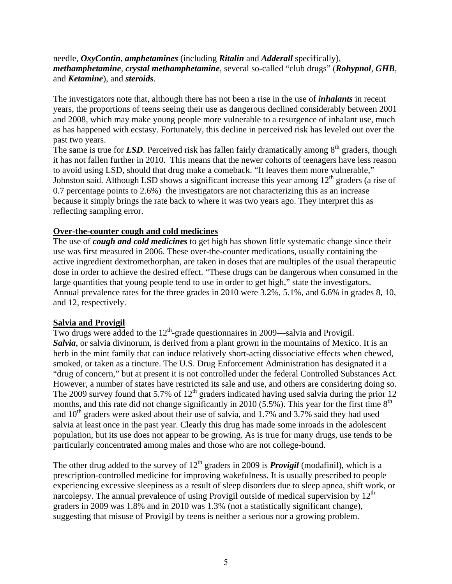#### needle, *OxyContin*, *amphetamines* (including *Ritalin* and *Adderall* specifically), *methamphetamine*, *crystal methamphetamine*, several so-called "club drugs" (*Rohypnol*, *GHB*, and *Ketamine*), and *steroids*.

The investigators note that, although there has not been a rise in the use of *inhalants* in recent years, the proportions of teens seeing their use as dangerous declined considerably between 2001 and 2008, which may make young people more vulnerable to a resurgence of inhalant use, much as has happened with ecstasy. Fortunately, this decline in perceived risk has leveled out over the past two years.

The same is true for *LSD*. Perceived risk has fallen fairly dramatically among  $8<sup>th</sup>$  graders, though it has not fallen further in 2010. This means that the newer cohorts of teenagers have less reason to avoid using LSD, should that drug make a comeback. "It leaves them more vulnerable," Johnston said. Although LSD shows a significant increase this year among  $12<sup>th</sup>$  graders (a rise of 0.7 percentage points to 2.6%) the investigators are not characterizing this as an increase because it simply brings the rate back to where it was two years ago. They interpret this as reflecting sampling error.

#### **Over-the-counter cough and cold medicines**

The use of *cough and cold medicines* to get high has shown little systematic change since their use was first measured in 2006. These over-the-counter medications, usually containing the active ingredient dextromethorphan, are taken in doses that are multiples of the usual therapeutic dose in order to achieve the desired effect. "These drugs can be dangerous when consumed in the large quantities that young people tend to use in order to get high," state the investigators. Annual prevalence rates for the three grades in 2010 were 3.2%, 5.1%, and 6.6% in grades 8, 10, and 12, respectively.

#### **Salvia and Provigil**

Two drugs were added to the  $12<sup>th</sup>$ -grade questionnaires in 2009—salvia and Provigil. *Salvia*, or salvia divinorum, is derived from a plant grown in the mountains of Mexico. It is an herb in the mint family that can induce relatively short-acting dissociative effects when chewed, smoked, or taken as a tincture. The U.S. Drug Enforcement Administration has designated it a "drug of concern," but at present it is not controlled under the federal Controlled Substances Act. However, a number of states have restricted its sale and use, and others are considering doing so. The 2009 survey found that 5.7% of  $12<sup>th</sup>$  graders indicated having used salvia during the prior 12 months, and this rate did not change significantly in 2010 (5.5%). This year for the first time  $8<sup>th</sup>$ and  $10^{th}$  graders were asked about their use of salvia, and 1.7% and 3.7% said they had used salvia at least once in the past year. Clearly this drug has made some inroads in the adolescent population, but its use does not appear to be growing. As is true for many drugs, use tends to be particularly concentrated among males and those who are not college-bound.

The other drug added to the survey of  $12<sup>th</sup>$  graders in 2009 is **Provigil** (modafinil), which is a prescription-controlled medicine for improving wakefulness. It is usually prescribed to people experiencing excessive sleepiness as a result of sleep disorders due to sleep apnea, shift work, or narcolepsy. The annual prevalence of using Provigil outside of medical supervision by  $12<sup>th</sup>$ graders in 2009 was 1.8% and in 2010 was 1.3% (not a statistically significant change), suggesting that misuse of Provigil by teens is neither a serious nor a growing problem.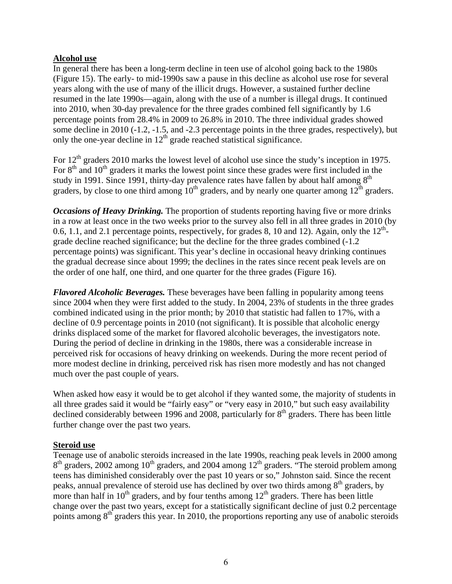#### **Alcohol use**

In general there has been a long-term decline in teen use of alcohol going back to the 1980s (Figure 15). The early- to mid-1990s saw a pause in this decline as alcohol use rose for several years along with the use of many of the illicit drugs. However, a sustained further decline resumed in the late 1990s—again, along with the use of a number is illegal drugs. It continued into 2010, when 30-day prevalence for the three grades combined fell significantly by 1.6 percentage points from 28.4% in 2009 to 26.8% in 2010. The three individual grades showed some decline in 2010 (-1.2, -1.5, and -2.3 percentage points in the three grades, respectively), but only the one-year decline in  $12<sup>th</sup>$  grade reached statistical significance.

For 12<sup>th</sup> graders 2010 marks the lowest level of alcohol use since the study's inception in 1975. For  $8<sup>th</sup>$  and  $10<sup>th</sup>$  graders it marks the lowest point since these grades were first included in the study in 1991. Since 1991, thirty-day prevalence rates have fallen by about half among  $8<sup>th</sup>$ graders, by close to one third among  $10^{th}$  graders, and by nearly one quarter among  $12^{th}$  graders.

*Occasions of Heavy Drinking.* The proportion of students reporting having five or more drinks in a row at least once in the two weeks prior to the survey also fell in all three grades in 2010 (by 0.6, 1.1, and 2.1 percentage points, respectively, for grades 8, 10 and 12). Again, only the  $12^{th}$ grade decline reached significance; but the decline for the three grades combined (-1.2 percentage points) was significant. This year's decline in occasional heavy drinking continues the gradual decrease since about 1999; the declines in the rates since recent peak levels are on the order of one half, one third, and one quarter for the three grades (Figure 16).

*Flavored Alcoholic Beverages.* These beverages have been falling in popularity among teens since 2004 when they were first added to the study. In 2004, 23% of students in the three grades combined indicated using in the prior month; by 2010 that statistic had fallen to 17%, with a decline of 0.9 percentage points in 2010 (not significant). It is possible that alcoholic energy drinks displaced some of the market for flavored alcoholic beverages, the investigators note. During the period of decline in drinking in the 1980s, there was a considerable increase in perceived risk for occasions of heavy drinking on weekends. During the more recent period of more modest decline in drinking, perceived risk has risen more modestly and has not changed much over the past couple of years.

When asked how easy it would be to get alcohol if they wanted some, the majority of students in all three grades said it would be "fairly easy" or "very easy in 2010," but such easy availability declined considerably between 1996 and 2008, particularly for  $8<sup>th</sup>$  graders. There has been little further change over the past two years.

#### **Steroid use**

Teenage use of anabolic steroids increased in the late 1990s, reaching peak levels in 2000 among  $8<sup>th</sup>$  graders, 2002 among 10<sup>th</sup> graders, and 2004 among 12<sup>th</sup> graders. "The steroid problem among teens has diminished considerably over the past 10 years or so," Johnston said. Since the recent peaks, annual prevalence of steroid use has declined by over two thirds among  $8<sup>th</sup>$  graders, by more than half in  $10<sup>th</sup>$  graders, and by four tenths among  $12<sup>th</sup>$  graders. There has been little change over the past two years, except for a statistically significant decline of just 0.2 percentage points among 8<sup>th</sup> graders this year. In 2010, the proportions reporting any use of anabolic steroids